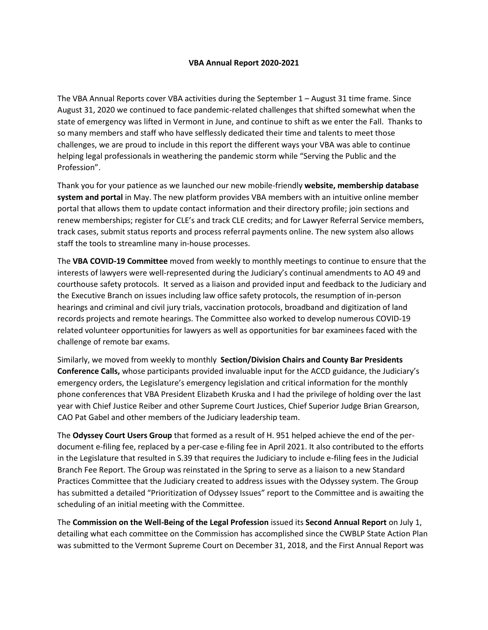## **VBA Annual Report 2020-2021**

The VBA Annual Reports cover VBA activities during the September 1 – August 31 time frame. Since August 31, 2020 we continued to face pandemic-related challenges that shifted somewhat when the state of emergency was lifted in Vermont in June, and continue to shift as we enter the Fall. Thanks to so many members and staff who have selflessly dedicated their time and talents to meet those challenges, we are proud to include in this report the different ways your VBA was able to continue helping legal professionals in weathering the pandemic storm while "Serving the Public and the Profession".

Thank you for your patience as we launched our new mobile-friendly **website, membership database system and portal** in May. The new platform provides VBA members with an intuitive online member portal that allows them to update contact information and their directory profile; join sections and renew memberships; register for CLE's and track CLE credits; and for Lawyer Referral Service members, track cases, submit status reports and process referral payments online. The new system also allows staff the tools to streamline many in-house processes.

The **VBA COVID-19 Committee** moved from weekly to monthly meetings to continue to ensure that the interests of lawyers were well-represented during the Judiciary's continual amendments to AO 49 and courthouse safety protocols. It served as a liaison and provided input and feedback to the Judiciary and the Executive Branch on issues including law office safety protocols, the resumption of in-person hearings and criminal and civil jury trials, vaccination protocols, broadband and digitization of land records projects and remote hearings. The Committee also worked to develop numerous COVID-19 related volunteer opportunities for lawyers as well as opportunities for bar examinees faced with the challenge of remote bar exams.

Similarly, we moved from weekly to monthly **Section/Division Chairs and County Bar Presidents Conference Calls,** whose participants provided invaluable input for the ACCD guidance, the Judiciary's emergency orders, the Legislature's emergency legislation and critical information for the monthly phone conferences that VBA President Elizabeth Kruska and I had the privilege of holding over the last year with Chief Justice Reiber and other Supreme Court Justices, Chief Superior Judge Brian Grearson, CAO Pat Gabel and other members of the Judiciary leadership team.

The **Odyssey Court Users Group** that formed as a result of H. 951 helped achieve the end of the perdocument e-filing fee, replaced by a per-case e-filing fee in April 2021. It also contributed to the efforts in the Legislature that resulted in S.39 that requires the Judiciary to include e-filing fees in the Judicial Branch Fee Report. The Group was reinstated in the Spring to serve as a liaison to a new Standard Practices Committee that the Judiciary created to address issues with the Odyssey system. The Group has submitted a detailed "Prioritization of Odyssey Issues" report to the Committee and is awaiting the scheduling of an initial meeting with the Committee.

The **Commission on the Well-Being of the Legal Profession** issued its **Second Annual Report** on July 1, detailing what each committee on the Commission has accomplished since the CWBLP State Action Plan was submitted to the Vermont Supreme Court on December 31, 2018, and the First Annual Report was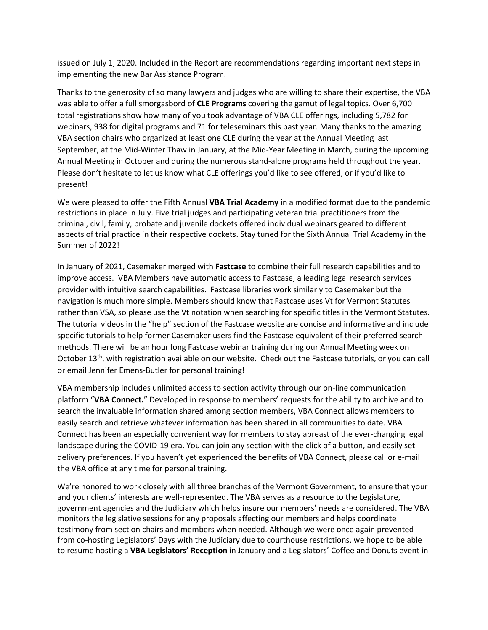issued on July 1, 2020. Included in the Report are recommendations regarding important next steps in implementing the new Bar Assistance Program.

Thanks to the generosity of so many lawyers and judges who are willing to share their expertise, the VBA was able to offer a full smorgasbord of **CLE Programs** covering the gamut of legal topics. Over 6,700 total registrations show how many of you took advantage of VBA CLE offerings, including 5,782 for webinars, 938 for digital programs and 71 for teleseminars this past year. Many thanks to the amazing VBA section chairs who organized at least one CLE during the year at the Annual Meeting last September, at the Mid-Winter Thaw in January, at the Mid-Year Meeting in March, during the upcoming Annual Meeting in October and during the numerous stand-alone programs held throughout the year. Please don't hesitate to let us know what CLE offerings you'd like to see offered, or if you'd like to present!

We were pleased to offer the Fifth Annual **VBA Trial Academy** in a modified format due to the pandemic restrictions in place in July. Five trial judges and participating veteran trial practitioners from the criminal, civil, family, probate and juvenile dockets offered individual webinars geared to different aspects of trial practice in their respective dockets. Stay tuned for the Sixth Annual Trial Academy in the Summer of 2022!

In January of 2021, Casemaker merged with **Fastcase** to combine their full research capabilities and to improve access. VBA Members have automatic access to Fastcase, a leading legal research services provider with intuitive search capabilities. Fastcase libraries work similarly to Casemaker but the navigation is much more simple. Members should know that Fastcase uses Vt for Vermont Statutes rather than VSA, so please use the Vt notation when searching for specific titles in the Vermont Statutes. The tutorial videos in the "help" section of the Fastcase website are concise and informative and include specific tutorials to help former Casemaker users find the Fastcase equivalent of their preferred search methods. There will be an hour long Fastcase webinar training during our Annual Meeting week on October 13<sup>th</sup>, with registration available on our website. Check out the Fastcase tutorials, or you can call or email Jennifer Emens-Butler for personal training!

VBA membership includes unlimited access to section activity through our on-line communication platform "**VBA Connect.**" Developed in response to members' requests for the ability to archive and to search the invaluable information shared among section members, VBA Connect allows members to easily search and retrieve whatever information has been shared in all communities to date. VBA Connect has been an especially convenient way for members to stay abreast of the ever-changing legal landscape during the COVID-19 era. You can join any section with the click of a button, and easily set delivery preferences. If you haven't yet experienced the benefits of VBA Connect, please call or e-mail the VBA office at any time for personal training.

We're honored to work closely with all three branches of the Vermont Government, to ensure that your and your clients' interests are well-represented. The VBA serves as a resource to the Legislature, government agencies and the Judiciary which helps insure our members' needs are considered. The VBA monitors the legislative sessions for any proposals affecting our members and helps coordinate testimony from section chairs and members when needed. Although we were once again prevented from co-hosting Legislators' Days with the Judiciary due to courthouse restrictions, we hope to be able to resume hosting a **VBA Legislators' Reception** in January and a Legislators' Coffee and Donuts event in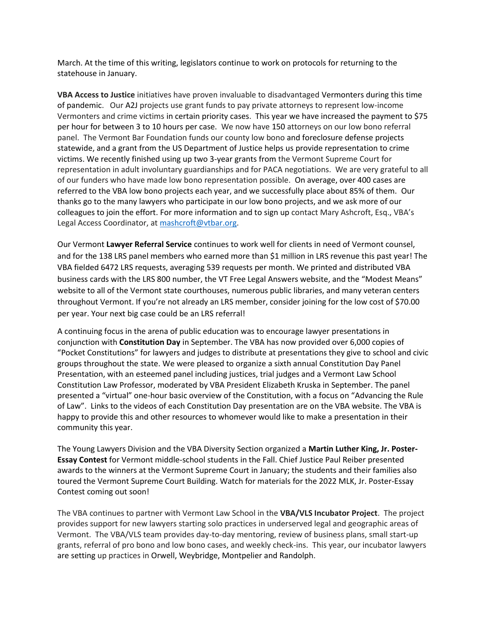March. At the time of this writing, legislators continue to work on protocols for returning to the statehouse in January.

**VBA Access to Justice** initiatives have proven invaluable to disadvantaged Vermonters during this time of pandemic. Our A2J projects use grant funds to pay private attorneys to represent low-income Vermonters and crime victims in certain priority cases. This year we have increased the payment to \$75 per hour for between 3 to 10 hours per case. We now have 150 attorneys on our low bono referral panel. The Vermont Bar Foundation funds our county low bono and foreclosure defense projects statewide, and a grant from the US Department of Justice helps us provide representation to crime victims. We recently finished using up two 3-year grants from the Vermont Supreme Court for representation in adult involuntary guardianships and for PACA negotiations. We are very grateful to all of our funders who have made low bono representation possible. On average, over 400 cases are referred to the VBA low bono projects each year, and we successfully place about 85% of them. Our thanks go to the many lawyers who participate in our low bono projects, and we ask more of our colleagues to join the effort. For more information and to sign up contact Mary Ashcroft, Esq., VBA's Legal Access Coordinator, at [mashcroft@vtbar.org.](mailto:mashcroft@vtbar.org)

Our Vermont **Lawyer Referral Service** continues to work well for clients in need of Vermont counsel, and for the 138 LRS panel members who earned more than \$1 million in LRS revenue this past year! The VBA fielded 6472 LRS requests, averaging 539 requests per month. We printed and distributed VBA business cards with the LRS 800 number, the VT Free Legal Answers website, and the "Modest Means" website to all of the Vermont state courthouses, numerous public libraries, and many veteran centers throughout Vermont. If you're not already an LRS member, consider joining for the low cost of \$70.00 per year. Your next big case could be an LRS referral!

A continuing focus in the arena of public education was to encourage lawyer presentations in conjunction with **Constitution Day** in September. The VBA has now provided over 6,000 copies of "Pocket Constitutions" for lawyers and judges to distribute at presentations they give to school and civic groups throughout the state. We were pleased to organize a sixth annual Constitution Day Panel Presentation, with an esteemed panel including justices, trial judges and a Vermont Law School Constitution Law Professor, moderated by VBA President Elizabeth Kruska in September. The panel presented a "virtual" one-hour basic overview of the Constitution, with a focus on "Advancing the Rule of Law". Links to the videos of each Constitution Day presentation are on the VBA website. The VBA is happy to provide this and other resources to whomever would like to make a presentation in their community this year.

The Young Lawyers Division and the VBA Diversity Section organized a **Martin Luther King, Jr. Poster-Essay Contest** for Vermont middle-school students in the Fall. Chief Justice Paul Reiber presented awards to the winners at the Vermont Supreme Court in January; the students and their families also toured the Vermont Supreme Court Building. Watch for materials for the 2022 MLK, Jr. Poster-Essay Contest coming out soon!

The VBA continues to partner with Vermont Law School in the **VBA/VLS Incubator Project**. The project provides support for new lawyers starting solo practices in underserved legal and geographic areas of Vermont. The VBA/VLS team provides day-to-day mentoring, review of business plans, small start-up grants, referral of pro bono and low bono cases, and weekly check-ins. This year, our incubator lawyers are setting up practices in Orwell, Weybridge, Montpelier and Randolph.